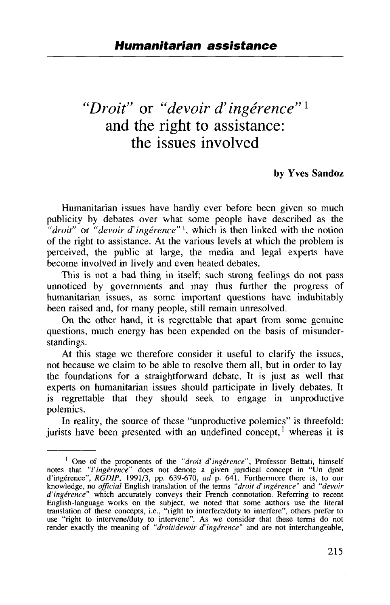# *'Droit"* or *"devoir d'ingerence"<sup>1</sup>* and the right to assistance: the issues involved

#### **by Yves Sandoz**

Humanitarian issues have hardly ever before been given so much publicity by debates over what some people have described as the *"droit"* or *"devoir d' ingerence"* ', which is then linked with the notion of the right to assistance. At the various levels at which the problem is perceived, the public at large, the media and legal experts have become involved in lively and even heated debates.

This is not a bad thing in itself; such strong feelings do not pass unnoticed by governments and may thus further the progress of humanitarian issues, as some important questions have indubitably been raised and, for many people, still remain unresolved.

On the other hand, it is regrettable that apart from some genuine questions, much energy has been expended on the basis of misunderstandings.

At this stage we therefore consider it useful to clarify the issues, not because we claim to be able to resolve them all, but in order to lay the foundations for a straightforward debate. It is just as well that experts on humanitarian issues should participate in lively debates. It is regrettable that they should seek to engage in unproductive polemics.

In reality, the source of these "unproductive polemics" is threefold: jurists have been presented with an undefined concept,<sup>1</sup> whereas it is

<sup>&</sup>lt;sup>1</sup> One of the proponents of the "droit d'ingérence", Professor Bettati, himself notes that *"I'ingerence"* does not denote a given juridical concept in "Un droit d'ingérence", *RGDIP*, 1991/3, pp. 639-670, *ad* p. 641. Furthermore there is, to our knowledge, no *official* English translation of the terms "*droit d'ingérence"* and "*devoir d'ingerence"* which accurately conveys their French connotation. Referring to recent English-language works on the subject, we noted that some authors use the literal translation of these concepts, i.e., "right to interfere/duty to interfere", others prefer to use "right to intervene/duty to intervene". As we consider that these terms do not render exactly the meaning of *"droitldevoir d'ingerence"* and are not interchangeable,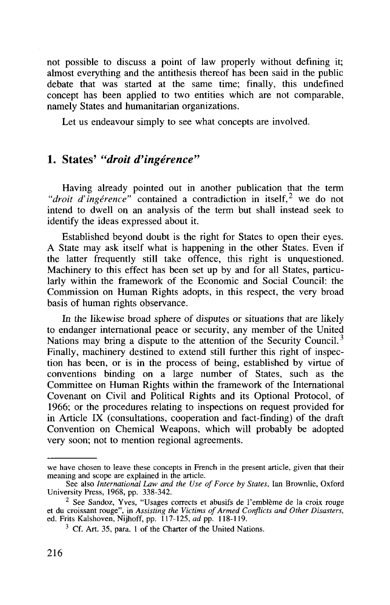not possible to discuss a point of law properly without defining it; almost everything and the antithesis thereof has been said in the public debate that was started at the same time; finally, this undefined concept has been applied to two entities which are not comparable, namely States and humanitarian organizations.

Let us endeavour simply to see what concepts are involved.

## 1. States' *"droit d'ingerence"*

Having already pointed out in another publication that the term *divient d'ingérence"* contained a contradiction in itself, we do not intend to dwell on an analysis of the term but shall instead seek to identify the ideas expressed about it.

Established beyond doubt is the right for States to open their eyes. A State may ask itself what is happening in the other States. Even if the latter frequently still take offence, this right is unquestioned. Machinery to this effect has been set up by and for all States, particularly within the framework of the Economic and Social Council: the Commission on Human Rights adopts, in this respect, the very broad basis of human rights observance.

In the likewise broad sphere of disputes or situations that are likely to endanger international peace or security, any member of the United Nations may bring a dispute to the attention of the Security Council.<sup>3</sup> Finally, machinery destined to extend still further this right of inspection has been, or is in the process of being, established by virtue of conventions binding on a large number of States, such as the Committee on Human Rights within the framework of the International Covenant on Civil and Political Rights and its Optional Protocol, of 1966; or the procedures relating to inspections on request provided for in Article IX (consultations, cooperation and fact-finding) of the draft Convention on Chemical Weapons, which will probably be adopted very soon; not to mention regional agreements.

we have chosen to leave these concepts in French in the present article, given that their meaning and scope are explained in the article. See also *International Law and the Use of Force by States,* Ian Brownlie, Oxford

University Press, 1968, pp. 338-342.

<sup>&</sup>lt;sup>2</sup> See Sandoz, Yves, "Usages corrects et abusifs de l'emblème de la croix rouge See Sandoz, Yves, "Usages corrects et abusifs de l'embleme de la croix rouge et du croissant rouge", in *Assisting the Victims of Armed Conflicts and Other Disasters,* ed. Frits Kalshoven, Nijhoff, pp. 117-125, *ad* pp. 118-119.

<sup>&</sup>lt;sup>3</sup> Cf. Art. 35, para. 1 of the Charter of the United Nations.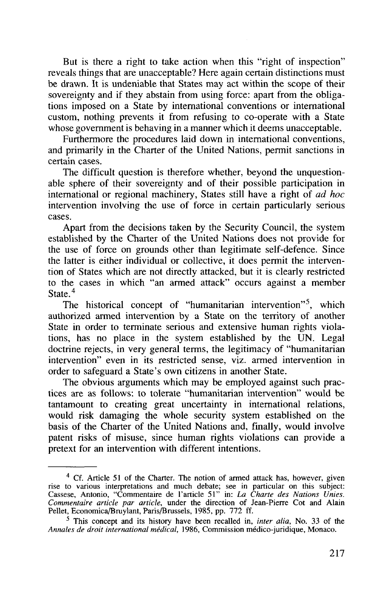But is there a right to take action when this "right of inspection" reveals things that are unacceptable? Here again certain distinctions must be drawn. It is undeniable that States may act within the scope of their sovereignty and if they abstain from using force: apart from the obligations imposed on a State by international conventions or international custom, nothing prevents it from refusing to co-operate with a State whose government is behaving in a manner which it deems unacceptable.

Furthermore the procedures laid down in international conventions, and primarily in the Charter of the United Nations, permit sanctions in certain cases.

The difficult question is therefore whether, beyond the unquestionable sphere of their sovereignty and of their possible participation in international or regional machinery, States still have a right of *ad hoc* intervention involving the use of force in certain particularly serious cases.

Apart from the decisions taken by the Security Council, the system established by the Charter of the United Nations does not provide for the use of force on grounds other than legitimate self-defence. Since the latter is either individual or collective, it does permit the intervention of States which are not directly attacked, but it is clearly restricted to the cases in which "an armed attack" occurs against a member State<sup>4</sup>

The historical concept of "humanitarian intervention"<sup>5</sup>, which authorized armed intervention by a State on the territory of another State in order to terminate serious and extensive human rights violations, has no place in the system established by the UN. Legal doctrine rejects, in very general terms, the legitimacy of "humanitarian intervention" even in its restricted sense, viz. armed intervention in order to safeguard a State's own citizens in another State.

The obvious arguments which may be employed against such practices are as follows: to tolerate "humanitarian intervention" would be tantamount to creating great uncertainty in international relations, would risk damaging the whole security system established on the basis of the Charter of the United Nations and, finally, would involve patent risks of misuse, since human rights violations can provide a pretext for an intervention with different intentions.

<sup>&</sup>lt;sup>4</sup> Cf. Article 51 of the Charter. The notion of armed attack has, however, given rise to various interpretations and much debate; see in particular on this subject:<br>Cassese, Antonio, "Commentaire de l'article 51" in: *La Charte des Nations Unies*. *Commentaire article par article,* under the direction of Jean-Pierre Cot and Alain Pellet, Economica/Bruylant, Paris/Brussels, 1985, pp. 772 ff.

<sup>&</sup>lt;sup>5</sup> This concept and its history have been recalled in, *inter alia*, No. 33 of the Annales de droit international médical, 1986, Commission médico-juridique, Monaco.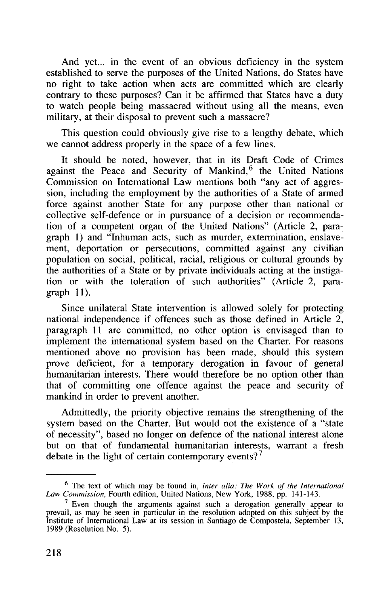And yet... in the event of an obvious deficiency in the system established to serve the purposes of the United Nations, do States have no right to take action when acts are committed which are clearly contrary to these purposes? Can it be affirmed that States have a duty to watch people being massacred without using all the means, even military, at their disposal to prevent such a massacre?

This question could obviously give rise to a lengthy debate, which we cannot address properly in the space of a few lines.

It should be noted, however, that in its Draft Code of Crimes against the Peace and Security of Mankind,<sup>6</sup> the United Nations Commission on International Law mentions both "any act of aggression, including the employment by the authorities of a State of armed force against another State for any purpose other than national or collective self-defence or in pursuance of a decision or recommendation of a competent organ of the United Nations" (Article 2, paragraph 1) and "Inhuman acts, such as murder, extermination, enslavement, deportation or persecutions, committed against any civilian population on social, political, racial, religious or cultural grounds by the authorities of a State or by private individuals acting at the instigation or with the toleration of such authorities" (Article 2, paragraph 11).

Since unilateral State intervention is allowed solely for protecting national independence if offences such as those defined in Article 2, paragraph 11 are committed, no other option is envisaged than to implement the international system based on the Charter. For reasons mentioned above no provision has been made, should this system prove deficient, for a temporary derogation in favour of general humanitarian interests. There would therefore be no option other than that of committing one offence against the peace and security of mankind in order to prevent another.

Admittedly, the priority objective remains the strengthening of the system based on the Charter. But would not the existence of a "state of necessity", based no longer on defence of the national interest alone but on that of fundamental humanitarian interests, warrant a fresh debate in the light of certain contemporary events?<sup>7</sup>

The text of which may be found in, *inter alia: The Work of the International* Law Commission, Fourth edition, United Nations, New York, 1988, pp. 141-143.

<sup>&</sup>lt;sup>7</sup> Even though the arguments against such a derogation generally appear to prevail, as may be seen in particular in the resolution adopted on this subject by the Institute of International Law at its session in Santiago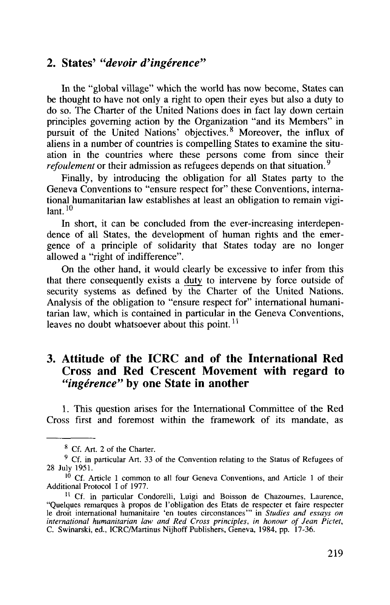#### 2. States' *"devoir d'ingerence"*

In the "global village" which the world has now become, States can be thought to have not only a right to open their eyes but also a duty to do so. The Charter of the United Nations does in fact lay down certain principles governing action by the Organization "and its Members" in pursuit of the United Nations' objectives.<sup>8</sup> Moreover, the influx of aliens in a number of countries is compelling States to examine the situation in the countries where these persons come from since their *refoulement* or their admission as refugees depends on that situation.<sup>9</sup>

Finally, by introducing the obligation for all States party to the Geneva Conventions to "ensure respect for" these Conventions, international humanitarian law establishes at least an obligation to remain vigi $lant.$ <sup>10</sup>

In short, it can be concluded from the ever-increasing interdependence of all States, the development of human rights and the emergence of a principle of solidarity that States today are no longer allowed a "right of indifference".

On the other hand, it would clearly be excessive to infer from this that there consequently exists a duty to intervene by force outside of security systems as defined by the Charter of the United Nations. Analysis of the obligation to "ensure respect for" international humanitarian law, which is contained in particular in the Geneva Conventions, leaves no doubt whatsoever about this point.*<sup>11</sup>*

### 3. Attitude of the ICRC and of the International Red Cross and Red Crescent Movement with regard to "*ingérence*" by one State in another

1. This question arises for the International Committee of the Red Cross first and foremost within the framework of its mandate, as

<sup>&</sup>lt;sup>8</sup> Cf. Art. 2 of the Charter.

<sup>&</sup>lt;sup>9</sup> Cf. in particular Art. 33 of the Convention relating to the Status of Refugees of 28 July 1951.

<sup>10</sup> Cf. Article 1 common to all four Geneva Conventions, and Article 1 of their Additional Protocol I of 1977.

<sup>&</sup>lt;sup>11</sup> Cf. in particular Condorelli, Luigi and Boisson de Chazournes, Laurence, "Quelques remarques à propos de l'obligation des Etats de respecter et faire respecter le droit international humanitaire 'en toutes circonstances'" in *Studies and essays on international humanitarian law and Red Cross pr* C. Swinarski, ed., ICRC/Martinus Nijhoff Publishers, Geneva, 1984, pp. 17-36.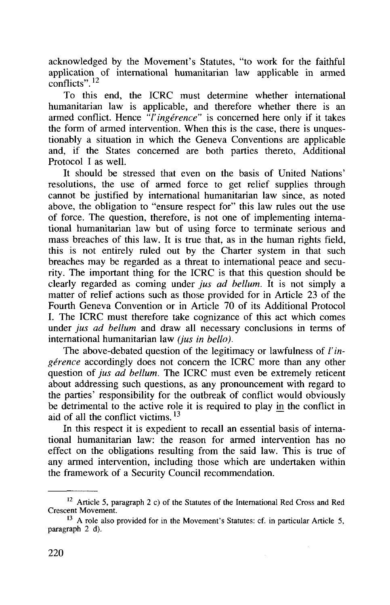acknowledged by the Movement's Statutes, "to work for the faithful application of international humanitarian law applicable in armed conflicts".<sup>12</sup>

To this end, the ICRC must determine whether international humanitarian law is applicable, and therefore whether there is an armed conflict. Hence  $\hat{f}'$ *ingérence*" is concerned here only if it takes the form of armed intervention. When this is the case, there is unquestionably a situation in which the Geneva Conventions are applicable and, if the States concerned are both parties thereto, Additional Protocol I as well.

It should be stressed that even on the basis of United Nations' resolutions, the use of armed force to get relief supplies through cannot be justified by international humanitarian law since, as noted above, the obligation to "ensure respect for" this law rules out the use of force. The question, therefore, is not one of implementing international humanitarian law but of using force to terminate serious and mass breaches of this law. It is true that, as in the human rights field, this is not entirely ruled out by the Charter system in that such breaches may be regarded as a threat to international peace and security. The important thing for the ICRC is that this question should be clearly regarded as coming under *jus ad helium.* It is not simply a matter of relief actions such as those provided for in Article 23 of the Fourth Geneva Convention or in Article 70 of its Additional Protocol I. The ICRC must therefore take cognizance of this act which comes under *jus ad bellum* and draw all necessary conclusions in terms of international humanitarian law *(jus in bello).*

The above-debated question of the legitimacy or lawfulness of *I'ingérence* accordingly does not concern the ICRC more than any other question of *jus ad bellum*. The ICRC must even be extremely reticent about addressing such questions, as any pronouncement with regard to the parties' responsibility for the outbreak of conflict would obviously be detrimental to the active role it is required to play in the conflict in aid of all the conflict victims.<sup>13</sup>

In this respect it is expedient to recall an essential basis of international humanitarian law: the reason for armed intervention has no effect on the obligations resulting from the said law. This is true of any armed intervention, including those which are undertaken within the framework of a Security Council recommendation.

 $12$  Article 5, paragraph 2 c) of the Statutes of the International Red Cross and Red Crescent Movement.

<sup>&</sup>lt;sup>13</sup> A role also provided for in the Movement's Statutes: cf. in particular Article 5, paragraph 2 d).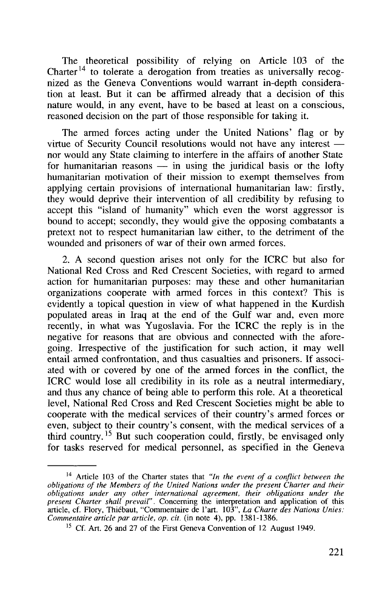The theoretical possibility of relying on Article 103 of the Charter<sup>14</sup> to tolerate a derogation from treaties as universally recognized as the Geneva Conventions would warrant in-depth consideration at least. But it can be affirmed already that a decision of this nature would, in any event, have to be based at least on a conscious, reasoned decision on the part of those responsible for taking it.

The armed forces acting under the United Nations' flag or by virtue of Security Council resolutions would not have any interest nor would any State claiming to interfere in the affairs of another State for humanitarian reasons  $\frac{1}{x}$  in using the juridical basis or the lofty humanitarian motivation of their mission to exempt themselves from applying certain provisions of international humanitarian law: firstly, they would deprive their intervention of all credibility by refusing to accept this "island of humanity" which even the worst aggressor is bound to accept; secondly, they would give the opposing combatants a pretext not to respect humanitarian law either, to the detriment of the wounded and prisoners of war of their own armed forces.

2. A second question arises not only for the ICRC but also for National Red Cross and Red Crescent Societies, with regard to armed action for humanitarian purposes: may these and other humanitarian organizations cooperate with armed forces in this context? This is evidently a topical question in view of what happened in the Kurdish populated areas in Iraq at the end of the Gulf war and, even more recently, in what was Yugoslavia. For the ICRC the reply is in the negative for reasons that are obvious and connected with the aforegoing. Irrespective of the justification for such action, it may well entail armed confrontation, and thus casualties and prisoners. If associated with or covered by one of the armed forces in the conflict, the ICRC would lose all credibility in its role as a neutral intermediary, and thus any chance of being able to perform this role. At a theoretical level, National Red Cross and Red Crescent Societies might be able to cooperate with the medical services of their country's armed forces or even, subject to their country's consent, with the medical services of a third country.<sup>15</sup> But such cooperation could, firstly, be envisaged only for tasks reserved for medical personnel, as specified in the Geneva

<sup>14</sup> Article 103 of the Charter states that *"In the event of a conflict between the obligations of the Members of the United Nations under the present Charter and their obligations under any other international agreement, their obligations under the present Charter shall prevail".* Concerning the interpretation and application of this article, cf. Flory, Thiebaut, "Commentaire de Tart. 103", *La Charte des Nations Unies: Commentaire article par article, op. cit.* (in note 4), pp. 1381-1386.

<sup>&</sup>lt;sup>15</sup> Cf. Art. 26 and 27 of the First Geneva Convention of 12 August 1949.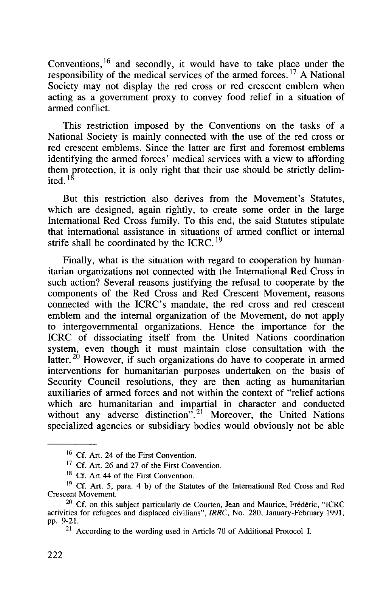Conventions, <sup>16</sup> and secondly, it would have to take place under the responsibility of the medical services of the armed forces.<sup>17</sup> A National Society may not display the red cross or red crescent emblem when acting as a government proxy to convey food relief in a situation of armed conflict.

This restriction imposed by the Conventions on the tasks of a National Society is mainly connected with the use of the red cross or red crescent emblems. Since the latter are first and foremost emblems identifying the armed forces' medical services with a view to affording them protection, it is only right that their use should be strictly delimited.  $^{18}$ 

But this restriction also derives from the Movement's Statutes, which are designed, again rightly, to create some order in the large International Red Cross family. To this end, the said Statutes stipulate that international assistance in situations of armed conflict or internal strife shall be coordinated by the ICRC.<sup>19</sup>

Finally, what is the situation with regard to cooperation by humanitarian organizations not connected with the International Red Cross in such action? Several reasons justifying the refusal to cooperate by the components of the Red Cross and Red Crescent Movement, reasons connected with the ICRC's mandate, the red cross and red crescent emblem and the internal organization of the Movement, do not apply to intergovernmental organizations. Hence the importance for the ICRC of dissociating itself from the United Nations coordination system, even though it must maintain close consultation with the latter.<sup>20</sup> However, if such organizations do have to cooperate in armed interventions for humanitarian purposes undertaken on the basis of Security Council resolutions, they are then acting as humanitarian auxiliaries of armed forces and not within the context of "relief actions which are humanitarian and impartial in character and conducted without any adverse distinction".<sup>21</sup> Moreover, the United Nations specialized agencies or subsidiary bodies would obviously not be able

<sup>&</sup>lt;sup>16</sup> Cf. Art. 24 of the First Convention.

<sup>&</sup>lt;sup>17</sup> Cf. Art. 26 and 27 of the First Convention.

<sup>&</sup>lt;sup>18</sup> Cf. Art 44 of the First Convention.

<sup>&</sup>lt;sup>19</sup> Cf. Art. 5, para. 4 b) of the Statutes of the International Red Cross and Red Crescent Movement.

 $20$  Cf. on this subject particularly de Courten, Jean and Maurice, Frédéric, "ICRC activities for refugees and displaced civilians", *IRRC,* No. 280, January-February 1991, pp. 9-21.

<sup>&</sup>lt;sup>21</sup> According to the wording used in Article 70 of Additional Protocol I.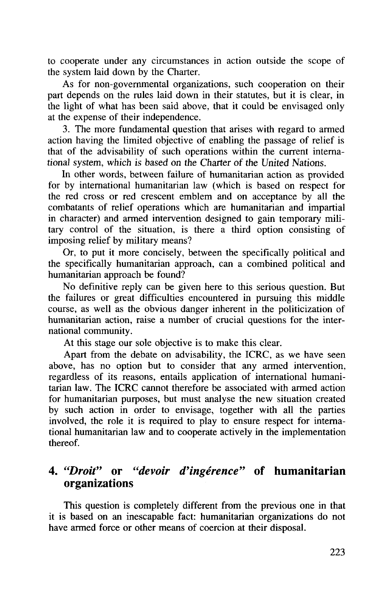to cooperate under any circumstances in action outside the scope of the system laid down by the Charter.

As for non-governmental organizations, such cooperation on their part depends on the rules laid down in their statutes, but it is clear, in the light of what has been said above, that it could be envisaged only at the expense of their independence.

3. The more fundamental question that arises with regard to armed action having the limited objective of enabling the passage of relief is that of the advisability of such operations within the current international system, which is based on the Charter of the United Nations.

In other words, between failure of humanitarian action as provided for by international humanitarian law (which is based on respect for the red cross or red crescent emblem and on acceptance by all the combatants of relief operations which are humanitarian and impartial in character) and armed intervention designed to gain temporary military control of the situation, is there a third option consisting of imposing relief by military means?

Or, to put it more concisely, between the specifically political and the specifically humanitarian approach, can a combined political and humanitarian approach be found?

No definitive reply can be given here to this serious question. But the failures or great difficulties encountered in pursuing this middle course, as well as the obvious danger inherent in the politicization of humanitarian action, raise a number of crucial questions for the international community.

At this stage our sole objective is to make this clear.

Apart from the debate on advisability, the ICRC, as we have seen above, has no option but to consider that any armed intervention, regardless of its reasons, entails application of international humanitarian law. The ICRC cannot therefore be associated with armed action for humanitarian purposes, but must analyse the new situation created by such action in order to envisage, together with all the parties involved, the role it is required to play to ensure respect for international humanitarian law and to cooperate actively in the implementation thereof.

## 4. *"Droit"* or *"devoir d'ingerence"* of humanitarian organizations

This question is completely different from the previous one in that it is based on an inescapable fact: humanitarian organizations do not have armed force or other means of coercion at their disposal.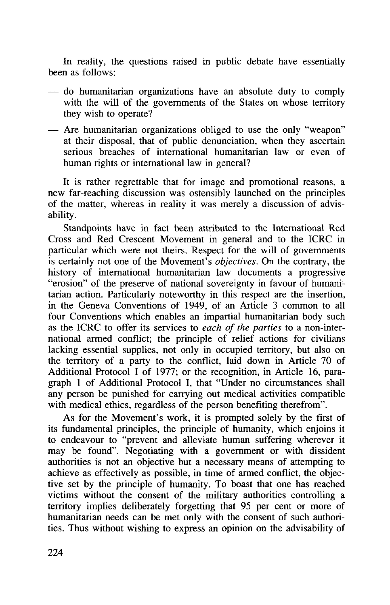In reality, the questions raised in public debate have essentially been as follows:

- do humanitarian organizations have an absolute duty to comply with the will of the governments of the States on whose territory they wish to operate?
- Are humanitarian organizations obliged to use the only "weapon" at their disposal, that of public denunciation, when they ascertain serious breaches of international humanitarian law or even of human rights or international law in general?

It is rather regrettable that for image and promotional reasons, a new far-reaching discussion was ostensibly launched on the principles of the matter, whereas in reality it was merely a discussion of advisability.

Standpoints have in fact been attributed to the International Red Cross and Red Crescent Movement in general and to the ICRC in particular which were not theirs. Respect for the will of governments is certainly not one of the Movement's *objectives.* On the contrary, the history of international humanitarian law documents a progressive "erosion" of the preserve of national sovereignty in favour of humanitarian action. Particularly noteworthy in this respect are the insertion, in the Geneva Conventions of 1949, of an Article 3 common to all four Conventions which enables an impartial humanitarian body such as the ICRC to offer its services to *each of the parties* to a non-international armed conflict; the principle of relief actions for civilians lacking essential supplies, not only in occupied territory, but also on the territory of a party to the conflict, laid down in Article 70 of Additional Protocol I of 1977; or the recognition, in Article 16, paragraph 1 of Additional Protocol I, that "Under no circumstances shall any person be punished for carrying out medical activities compatible with medical ethics, regardless of the person benefiting therefrom".

As for the Movement's work, it is prompted solely by the first of its fundamental principles, the principle of humanity, which enjoins it to endeavour to "prevent and alleviate human suffering wherever it may be found". Negotiating with a government or with dissident authorities is not an objective but a necessary means of attempting to achieve as effectively as possible, in time of armed conflict, the objective set by the principle of humanity. To boast that one has reached victims without the consent of the military authorities controlling a territory implies deliberately forgetting that 95 per cent or more of humanitarian needs can be met only with the consent of such authorities. Thus without wishing to express an opinion on the advisability of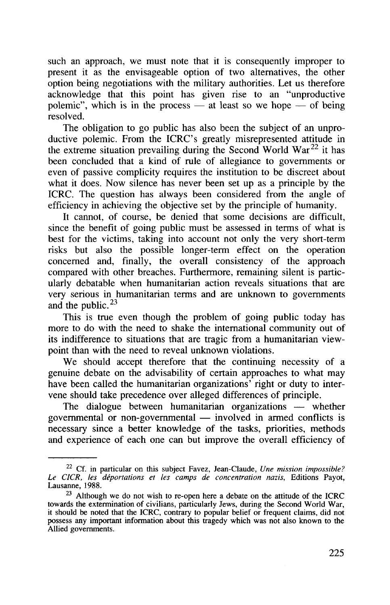such an approach, we must note that it is consequently improper to present it as the envisageable option of two alternatives, the other option being negotiations with the military authorities. Let us therefore acknowledge that this point has given rise to an "unproductive polemic", which is in the process — at least so we hope — of being resolved.

The obligation to go public has also been the subject of an unproductive polemic. From the ICRC's greatly misrepresented attitude in the extreme situation prevailing during the Second World War<sup>22</sup> it has been concluded that a kind of rule of allegiance to governments or even of passive complicity requires the institution to be discreet about what it does. Now silence has never been set up as a principle by the ICRC. The question has always been considered from the angle of efficiency in achieving the objective set by the principle of humanity.

It cannot, of course, be denied that some decisions are difficult, since the benefit of going public must be assessed in terms of what is best for the victims, taking into account not only the very short-term risks but also the possible longer-term effect on the operation concerned and, finally, the overall consistency of the approach compared with other breaches. Furthermore, remaining silent is particularly debatable when humanitarian action reveals situations that are very serious in humanitarian terms and are unknown to governments and the public.  $23$ 

This is true even though the problem of going public today has more to do with the need to shake the international community out of its indifference to situations that are tragic from a humanitarian viewpoint than with the need to reveal unknown violations.

We should accept therefore that the continuing necessity of a genuine debate on the advisability of certain approaches to what may have been called the humanitarian organizations<sup>'</sup> right or duty to intervene should take precedence over alleged differences of principle.

The dialogue between humanitarian organizations — whether governmental or non-governmental — involved in armed conflicts is necessary since a better knowledge of the tasks, priorities, methods and experience of each one can but improve the overall efficiency of

<sup>22</sup> Cf. in particular on this subject Favez, Jean-Claude, *Une mission impossible? Le CICR, les deportations et les camps de concentration nazis,* Editions Payot, Lausanne, 1988.

 $23$  Although we do not wish to re-open here a debate on the attitude of the ICRC towards the extermination of civilians, particularly Jews, during the Second World War, it should be noted that the ICRC, contrary to popular belief or frequent claims, did not possess any important information about this tragedy which was not also known to the Allied governments.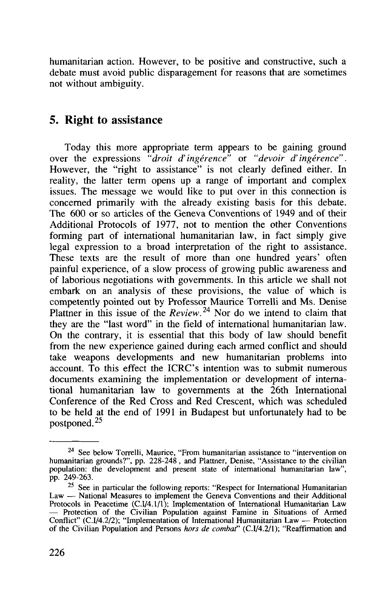humanitarian action. However, to be positive and constructive, such a debate must avoid public disparagement for reasons that are sometimes not without ambiguity.

## 5. Right to assistance

Today this more appropriate term appears to be gaining ground over the expressions *"droit d'ingerence"* or *"devoir d'ingerence".* However, the "right to assistance" is not clearly defined either. In reality, the latter term opens up a range of important and complex issues. The message we would like to put over in this connection is concerned primarily with the already existing basis for this debate. The 600 or so articles of the Geneva Conventions of 1949 and of their Additional Protocols of 1977, not to mention the other Conventions forming part of international humanitarian law, in fact simply give legal expression to a broad interpretation of the right to assistance. These texts are the result of more than one hundred years' often painful experience, of a slow process of growing public awareness and of laborious negotiations with governments. In this article we shall not embark on an analysis of these provisions, the value of which is competently pointed out by Professor Maurice Torrelli and Ms. Denise Plattner in this issue of the *Review*.<sup>24</sup> Nor do we intend to claim that they are the "last word" in the field of international humanitarian law. On the contrary, it is essential that this body of law should benefit from the new experience gained during each armed conflict and should take weapons developments and new humanitarian problems into account. To this effect the ICRC's intention was to submit numerous documents examining the implementation or development of international humanitarian law to governments at the 26th International Conference of the Red Cross and Red Crescent, which was scheduled to be held at the end of 1991 in Budapest but unfortunately had to be postponed.<sup>25</sup>

<sup>&</sup>lt;sup>24</sup> See below Torrelli, Maurice, "From humanitarian assistance to "intervention on<br>humanitarian grounds?", pp. 228-248, and Plattner, Denise, "Assistance to the civilian<br>population: the development and present state of i pp. 249-263.

<sup>&</sup>lt;sup>25</sup> See in particular the following reports: "Respect for International Humanitarian Law — National Measures to implement the Geneva Conventions and their Additional Protocols in Peacetime  $(C.I/4.1/1)$ ; Implementation of International Humanitarian Law Protocols in Peacetime (C.I/4.1/1); Implementation of International Humanitarian Law — Protection of the Civilian Population against Famine in Situations of Armed Conflict" (C.I/4.2/2); "Implementation of International Humanitarian Law — Protection of the Civilian Population and Persons *hors de combat'* (C.I/4.2/1); "Reaffirmation and